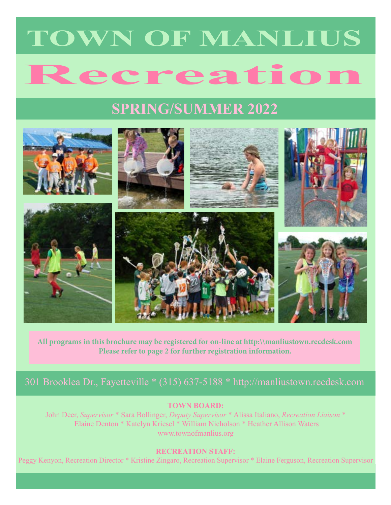# **Recreation TOWN OF MANLIUS**

# **SPRING/SUMMER 2022**



**All programs in this brochure may be registered for on-line at http:\\manliustown.recdesk.com Please refer to page 2 for further registration information.**

### 301 Brooklea Dr., Fayetteville \* (315) 637-5188 \* http://manliustown.recdesk.com

### **TOWN BOARD:**

John Deer, *Supervisor* \* Sara Bollinger, *Deputy Supervisor* \* Alissa Italiano, *Recreation Liaison* \* Elaine Denton \* Katelyn Kriesel \* William Nicholson \* Heather Allison Waters www.townofmanlius.org

### **RECREATION STAFF:**

Peggy Kenyon, Recreation Director \* Kristine Zingaro, Recreation Supervisor \* Elaine Ferguson, Recreation Supervisor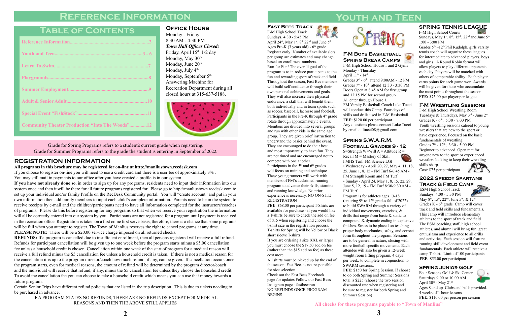# **Reference Information**

# **Table of Contents**

| <b>Community Theater Production "Into The Woods"12</b> |
|--------------------------------------------------------|

**If you have not already done so**, in order to sign up for any programs, residents need to input their information into our system once and then it will be there for all future programs registered for. Please go to http://manliustown.recdesk.com to set up your individual and/or family Profile on the RecDesk Community portal. You will "create account" and put in your own information then add family members to input each child's complete information. Parents need to be in the system to receive receipts by e-mail and the children/participants need to have all information completed for the instructors/coaches of programs. Please do this before registering for any programs so that when we receive your registration the information will all be correctly entered into our system by you. Participants are not registered for a program until payment is received in the recreation office. Registration is taken on a first come first serve basis, therefore, there is a chance that some programs will be full when you attempt to register. The Town of Manlius reserves the right to cancel programs at any time. **PLEASE NOTE:** There will be a \$20.00 service charge imposed on all returned checks.

### **Registration Information**

**All programs in this brochure may be registered for on-line at http://manliustown.recdesk.com**

If you choose to register on-line you will need to use a credit card and there is a user fee of approximately 3% . You may still mail in payments to our office after you have created a profile is in our system.

> Four Seasons Golf & Ski Center Saturdays 9:00 or 10:00 AM April  $30^{\text{th}}$  - May  $21^{\text{st}}$ Ages 8 and up Clubs and balls provided. 4 weeks of 1 hour lessons **FEE**: \$110.00 per person per session

Grades  $5<sup>th</sup> - 12<sup>th</sup>$  Phil Rudolph, girls varsity tennis coach will organize these leagues for intermediate to advanced players, boys and girls. A Round Robin format will allow players to play different opponents each day. Players will be matched with others of comparable ability. Each player earns points for each game won. Awards will be given for those who accumulate the most points throughout the season. **FEE:** \$75.00 per player per league

**REFUNDS:** If a program is cancelled due to insufficient enrollment, then all persons registered will receive a full refund. Refunds for participant cancellation will be given up to one week before the program starts minus a \$5.00 cancellation fee unless a household credit is chosen. Cancellation within one week of the start of program for a medical reason will receive a full refund minus the \$5 cancellation fee unless a household credit is taken. If there is not a medical reason for the cancellation it is up to the program director/coach how much refund, if any, can be given. If cancellation occurs once the program starts, even for medical reasons, the amount of refund will be determined by the program director/coach and the individual will receive that refund, if any, minus the \$5 cancellation fee unless they choose the household credit. To avoid the cancellation fee you can choose to take a household credit which means you can use that money towards a future program.

Certain Senior Trips have different refund policies that are listed in the trip description. This is due to tickets needing to be purchased in advance.

IF A PROGRAM STATES NO REFUNDS, THERE ARE NO REFUNDS EXCEPT FOR MEDICAL REASONS AND THEN THE ABOVE STILL APPLIES

### **Office Hours**

Check out the Fast Bees Facebook page for updates.Follow our Fast Bees Instagram page - fastbeesrun NO REFUNDS ONCE PROGRAM **BEGINS** 

Monday - Friday 8:30 AM - 4:30 PM *Town Hall Offices Closed:* Friday, April 15<sup>th</sup> 1/2 day Monday, May 30<sup>th</sup> Monday, June 20<sup>th</sup> Monday, July 4<sup>th</sup> Monday, September 5<sup>th</sup> Answering Machine for Recreation Department during all closed hours at 315-637-5188.



S=Strength W=Will  $A =$  Attitude R = Recall  $M =$  Mastery of Skill FMHS Turf, FM Science LGI • Wednesday - April 20, 27, May 4, 11, 18, 25, June 1, 8, 15 - FM Turf 6-6:45 AM - FM Strength Room and FM Turf • Sunday - April 24, May 1, 8, 15, 22, 29, June 5, 12, 19 - FM Turf 8:30-9:30 AM - FM Turf

Grade for Spring Programs refers to a student's current grade when registering. Grade for Summer Programs refers to the grade the student is entering in September of 2022.

# **Youth and Teen**



**All checks for these programs payable to "Town of Manlius"**

### **Spring Junior Golf**

### **SPRING TENNIS LEAGUE**

F-M High School Courts Sundays, May 1st, 8<sup>th</sup>, 15<sup>th</sup>, 22<sup>nd</sup> and June 5<sup>th</sup> 1:00 - 3:00 PM

### **F-M Boys Basketball Spring Break Camps**

F-M High School House 1 and 2 Gyms

Monday - Thursday April  $11^{th}$  -  $14^{th}$ Grades  $3<sup>rd</sup>$  - 6<sup>th</sup> attend 9:00AM - 12 PM Grades  $7<sup>th</sup>$  -  $10<sup>th</sup>$  attend 12:30 - 3:30 PM Doors Open at 8:45 AM for first group and 12:15 PM for second group. All enter through House 1. FM Varsity Basketball Coach Luke Tucci will conduct this Camp. Four days of skills and drills used in F-M Basketball **FEE:** \$120.00 per participant Any questions please contact Luke Tucci by email at ltucci08@gmail.com

**Fast Bees Track**

F-M High School Track Sundays, 4:30 - 5:45 PM April 24<sup>th</sup>, May 1<sup>st</sup>, 8<sup>th</sup>, 22<sup>nd</sup> and June 5<sup>th</sup> Ages Pre-K  $(3 \text{ years old})$  -  $6^{\text{th}}$  grade Register early! Number of available slots per group are estimates and may change based on enrollment numbers.

Run for Fun! The overall goal of the program is to introduce participants to the fun and rewarding sport of track and field. Throughout the season, Fast Bee members will build self confidence through their own personal achievements and goals. They will also increase their physical endurance, a skill that will benefit them both individually and in team sports such as soccer, baseball, lacrosse and football. Participants in the Pre-K through  $4<sup>th</sup>$  grade rotate through approximately 5 events. Members are divided into several groups and run with other kids in the same age group. They are given brief instruction to understand the basics behind the event. They are encouraged to do their best and most importantly, to have fun. They are not timed and are encouraged not to

compete with one another. Participants in the  $5<sup>th</sup>$  and  $6<sup>th</sup>$  grades will focus on training and technique. These young runners will work with members of FM's acclaimed running program to advance their skills, stamina and running knowledge. No prior experience is necessary. NO ON-SITE REGISTRATION

**FEE**: \$68.00 per participant T-Shirts are available for purchase - if you would like a T-shirts be sure to check the add on fee of \$15 when registering and choose the t-shirt size in the registration process. T-shirts for Spring will be Yellow or Black short sleeve T-shirts.

If you are ordering a size XXL or larger you must choose the \$17.50 add on fee (rather than the \$15 add on fee) as these cost more.

All shirts must be picked up by the end of the season. Fast Bees is not responsible for size selection.

### **Spring S.W.A.R.M. Football Grades 9 - 12**

Program is for athletes ages 13-18 (entering  $9<sup>th</sup>$  to  $12<sup>th</sup>$  grades fall of 2022) to build SWARM through a variety of individual movements, exercises, & drills that range from basic & static to compound & dynamic ending in explosive finishes. Stress to be placed on teaching proper body mechanics, safety, and correct form throughout the program. Sessions are to be general in nature, closing with more football specific movements. Each attendee will also be given a 12-week weight room lifting program, 4 days per week, to complete in conjunction to

SWARM sessions. Summer Session)

**FEE**: \$150 for Spring Session. If choose to do both Spring and Summer Sessions total is \$225 (choose the two session discounted rate when registering and be sure to register for both Spring and

### **2022 Speedy Spartans**

**Track & Field Camp** ESM High School Track Sundays; 4:00 - 5:30 PM May 8<sup>th</sup>, 15<sup>th</sup>, 22<sup>nd</sup>, June 5<sup>th</sup>, & 12<sup>th</sup> Grades  $K - 6<sup>th</sup>$  grade Camp will cover track and field skills and fundamentals.

This camp will introduce elementary athletes to the sport of track and field. The ESM coaching staff, high school athletes, and alumni will bring fun, great enthusiasm and experience to all drills and activities. Each session will feature running skill development and field event fundamentals. Each athlete will receive a camp T-shirt. Limit of 100 participants. **FEE**: \$55.00 per participant

### **F-M Wrestling Sessions**

F-M High School Wrestling Room Tuesdays & Thursdays, May 3rd - June 2nd Grades K - 6<sup>th</sup>; 5:30 - 7:00 PM Youth wrestling sessions catered to young wrestlers that are new to the sport or have experience. Focused on the basic fundamentals of wrestling. Grades 7<sup>th</sup> - 12<sup>th</sup>; 3:30 - 5:00 PM Beginner to advanced. Open mat for anyone new to the sport or experienced

wrestlers looking to keep their wrestling skills sharp. Cost: \$75 per participant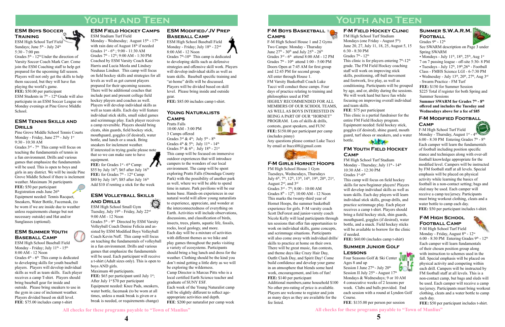### **F-M Boys BASKETBALL Camps**

F-M High School House 1 and 2 Gyms Two Camps: Monday - Thursday June  $27^{\text{th}}$  -  $30^{\text{th}}$  and July  $25^{\text{th}}$  -  $28^{\text{th}}$ Grades  $3^{\text{rd}}$  -  $6^{\text{th}}$  attend  $8:00$  AM - 12 PM Grades 7<sup>th</sup> - 10<sup>th</sup> attend 1:00 - 5:00 PM Doors Open at 7:45 AM for first group and 12:45 PM for second group. All enter through House 1. FM Varsity Basketball Coach Luke Tucci will conduct these camps. Four days of practice relating to training and philosophies used at FM! HIGHLY RECOMMENDED FOR ALL MEMBERS OF OUR SCHOOL TEAMS, AS WELL AS BOYS INTERESTED IN BEING A PART OF OUR "HORNET" PROGRAM. Lots of skills & drills, contests, guest speakers, and FUN! **FEE:** \$150.00 per participant per camp (includes pinny) Any questions please contact Luke Tucci by email at ltucci08@gmail.com



# **Youth and Teen**

# **Youth and Teen**

**All checks for these programs payable to "Town of Manlius"**

### **F-M Field Hockey Clinic**



FM High School Turf Stadium Mondays (one Friday - August 5<sup>th</sup>) June 20, 27, July 11, 18, 25, August 5, 15 6:30 - 8:30 PM Grades  $7<sup>th</sup>$  -  $12<sup>th</sup>$ This clinic is for players entering  $7<sup>th</sup>$ -12<sup>th</sup> grade. The FM Field Hockey coaching staff will work on improving stick skills, positioning, off-ball movement and footwork, live play, as well as conditioning. Participants will be grouped by age, and or, ability during the sessions. We will work hard but have fun while focusing on improving overall individual and team skills. **FEE**: \$75 per participant This clinic is a partial fundraiser for the entire FM Field Hockey program. Equipment needed: field hockey stick, goggles (if desired), shine guard, mouth guard, turf shoes or sneakers, and a water bottle.

### **F-M High School Football Camp**



Monday - Wednesday; August 15<sup>th</sup> - 17<sup>th</sup> with rain date of August  $18<sup>th</sup>$  if needed Grades  $1^{st}$  -  $6^{th}$ ; 9:00 - 11:30 AM Grades 7<sup>th</sup> - 12<sup>th</sup>; 9:00 AM - 1:30 PM Coached by ESM Varsity Coach Kate Harris and Lucia Meola and Lindsey Neuhaus Lindner. This camp will focus on field hockey skills and strategies for all levels as well as get current players prepared for their upcoming seasons. There will be additional coaches that include past and present college field hockey players and coaches as well. Players will develop individual skills as well as team skills. Each day will feature individual stick skills, small sided games and scrimmage play. Each player receives a camp reversible. Players should bring

> F-M High School Turf Field Monday - Friday, August 8<sup>th</sup> - 12<sup>th</sup> 6:00 - 8:30 PM Entering Grades  $9<sup>th</sup>$  - 12<sup>th</sup> Each camper will learn fundamentals of their chosen position group along with instruction to schemes used in the fall. Special emphasis will be placed on physical activity and competing within each drill. Campers will be instructed by FM football staff at all levels. This is a non-contact camp, but bags and sleds will be used. Each camper will receive a camp tee/jersey. Participants must bring workout clothing, cleats and a water bottle to camp each day.

**FEE:** for Grades 1<sup>st</sup> - 6<sup>th</sup> Camp: \$55 by July 16<sup>th</sup>; \$65 after July 16<sup>th</sup> FEE: for Grades 7<sup>th</sup> - 12<sup>th</sup> Camp: \$80 by July  $16^{th}$ ; \$85 after July  $16^{th}$ Add \$10 if renting a stick for the week

Grades  $5<sup>th</sup>$  -  $9<sup>th</sup>$  Directed by ESM Varsity Volleyball Coach Denise Felicia and assisted by ESM Modified Boys Volleyball Coach Kevin Neff. This camp will focus on teaching the fundamentals of volleyball in a fun environment. Drills and various games that emphasize the fundamentals will be used. Each participant will receive a t-shirt (Adult sizes only). This is open to boys AND girls.

**FEE:** \$50 per participant includes t-shirt.

### **ESM Summer Youth Baseball Camp**

ESM High School Baseball Field Monday - Friday; July 11<sup>th</sup> - 15<sup>th</sup> 8:00 AM - 12 Noon Grades  $4<sup>th</sup>$  -  $6<sup>th</sup>$  This camp is dedicated to developing skills for youth baseball players. Players will develop individual skills as well as team skills. Each player receives a camp T-shirt. Players should bring baseball gear for inside and outside. Please bring sneakers to use in the gym in case of inclement weather. Players divided based on skill level. **FEE**: \$75.00 includes camp t-shirt

Grades  $5<sup>th</sup>$  -  $12<sup>th</sup>$  Under the direction of Varsity Soccer Coach Mark Carr. Come join the ESM Coaching staff to help get prepared for the upcoming fall season. Players will not only get the skills to help them succeed, but they will have fun playing the world's game. **FEE:** \$50.00 per participant ESM Students in  $7<sup>th</sup>$  -  $12<sup>th</sup>$  Grade will also participate in an ESM Soccer League on Monday evenings at Pine Grove Middle School.

### **ESM Field Hockey Camps** ESM Stadium Turf Field

Grades  $3^{rd}$  -  $7^{th}$  This camp will focus on teaching the fundamentals of tennis in a fun environment. Drills and various games that emphasize the fundamentals will be used. This is open to boys and girls in any district. We will be inside Pine Grove Middle School if there is inclement weather. Maximum 36 participants **FEE:** \$50 per participant Registration ends June 26<sup>th</sup> Equipment needed: Tennis Racquet, Sneakers, Water Bottle, Facemask, (to be worn if we are inside due to weather unless requirements change but not necessary outside) and Hat and/or Sunglasses (optional).

Grades  $7<sup>th</sup> - 10<sup>th</sup>$  This camp is dedicated to developing skills such as defensive strategies and offensive skill work. Players will develop individual skills as well as team skills. Baseball specific training and "at-home" drills will be discussed. Players will be divided based on skill level. Please bring inside and outside gear.

cleats, shin guards, field hockey stick, mouthguard, goggles (if desired), water bottle, and lunch or a snack. Bring sneakers for inclement weather. If interested in trying goalie please note that so we can make sure to have equipment.

### **ESM Volleyball Skills and Drills**

ESM High School Small Gym Tuesday, July  $19^{th}$  - Friday, July  $22^{nd}$ 9:00 AM - 12 Noon

**Football**  Grades  $9<sup>th</sup>$  -  $12<sup>th</sup>$ 



- Mondays July  $11^{th}$ ,  $18^{th}$ ,  $25^{th}$ , Aug  $1^{st}$
- 7 on 7 passing league off-site 5:30- 8 PM
- Tuesdays July  $12<sup>th</sup>$ ,  $19<sup>th</sup>$ ,  $26<sup>th</sup>$  Football
- Class FMHS Science LGI 6-7:30 PM
- Wednesday July  $13<sup>th</sup>$ ,  $20<sup>th</sup>$ ,  $27<sup>th</sup>$ , Aug  $3<sup>rd</sup>$ - Swarm Practice - FM Turf
- **FEE:** \$150 for Summer Session

\$225 Total if register for both Spring and Summer Sessions

Summer SWARM for Grades 7<sup>th</sup> - 8<sup>th</sup> **offered and includes the Tuesday and Wednesdays above for a fee of \$85**

F-M High School Turf Field Monday - Thursday, August  $1<sup>st</sup>$  -  $4<sup>th</sup>$ 



Maximum 40 participants. **FEE:** \$65 per participant until July 1<sup>st</sup>; After July  $1<sup>st</sup>$  \$70 per participant Equipment needed: Knee Pads, sneakers, water bottle, facemask (to be worn at all times, unless a mask break is given or a break is needed, or requirements change)

6:00 - 8:30 PM Entering Grades  $7<sup>th</sup>$  -  $8<sup>th</sup>$ Each camper will learn the fundamentals of football including position specific stance and techniques along with over-all football knowledge appropriate for the modified level. Campers will be instructed by FM football staff at all levels. Special emphasis will be placed on physical activity while learning the basics of football in a non-contact setting; bags and sled may be used. Each camper will receive a camp tee/jersey. Participants must bring workout clothing, cleats and a water bottle to camp each day. **FEE:** \$50 per participant includes t-shirt.

### **ESM Boys Soccer Training**

ESM High School Turf Field Sundays; June  $5<sup>th</sup>$  - July  $24<sup>th</sup>$ 5:30 - 7:00 pm

> Four Seasons Golf & Ski Center Ages 8 and up Session I June  $27<sup>th</sup>$  - July  $20<sup>th</sup>$ Session II July  $25^{\text{th}}$  - August  $17^{\text{th}}$ Mondays & Wednesdays; 9 or 10 AM 4 consecutive weeks of 2 lessons per week. Clubs and balls provided. End each session with a round at Lyndon Golf Course.

### **ESM Tennis Skills and Drills**

Pine Grove Middle School Tennis Courts Monday - Friday, June  $27<sup>th</sup>$  - July 1st 9:30 - 10:30 AM

Grades  $3^{\text{rd}}$  &  $4^{\text{th}}$ ; July  $5^{\text{th}}$  -  $8^{\text{th}}$ Grades  $4<sup>th</sup>$  &  $5<sup>th</sup>$ ; July  $11<sup>th</sup>$  -  $14<sup>th</sup>$ Grades  $5^{th}$  &  $6^{th}$ ; July  $18^{th}$  -  $21^{st}$ This camp will be focused on immersive outdoor experiences that will introduce campers to the wonders of our local environment. The camp will be spent exploring Pratts Falls (Onondaga County Park) with the possibility of another park as well, where we will be able to spend time in nature. Park pavilions will be our home base. Hands-on experiences in our natural world will allow young naturalists to experience, appreciate, and wonder at the interconnectedness of everything on Earth. Activities will include observations, discussions, and classification of birds, insects, trees, plants, aquatic life, fossils, rocks, local geology, and more. Each day will be a mixture of activities with different themes as we hike and play games throughout the parks visiting a variety of ecosystems. Participants should bring a bag lunch and dress for the weather. Clothing should be the kind you don't mind getting a little dirty as we will be exploring the wilderness. Camp Director is Marcus Pitts who is a local certified Earth Science teacher and graduate of SUNY ESF.

### **ESM Modified/JV Prep Baseball Camp**

ESM High School Baseball Field Monday - Friday; July  $18^{\text{th}}$  -  $22^{\text{nd}}$ 8:00 AM - 12 Noon

**FEE:** \$85.00 includes camp t-shirt.

### **F-M Girls Hornet Hoops**

FM High School House 1 Gym Tuesdays, Wednesdays, Thursdays July  $6<sup>th</sup>$ ,  $7<sup>th</sup>$ ,  $12<sup>th</sup>$ ,  $13<sup>th</sup>$ ,  $14<sup>th</sup>$ ,  $19<sup>th</sup>$ ,  $20<sup>th</sup>$ ,  $21<sup>st</sup>$ , August 2<sup>nd</sup>, and 3<sup>rd</sup> Grades 3rd - 7th; 8:00 - 10:00 AM Grades  $8^{th}$  -  $12^{th}$ ; 10:00 AM - 12 Noon This marks the twenty-third year of Hornet Hoops, the summer basketball experience for girls. F-M varsity coach Scott DeForest and junior-varsity coach Nicole Kelly will lead participants through ten sessions that offer fun opportunities to work on individual skills, game concepts, and scrimmage situations. Participants will also come away with individual drills/ skills to practice at home on their own. There will be great music, fun contests, and theme days like Crazy Hair Day, Outfit Clash Day, and Spirit Day! Come build confidence and develop your game in an atmosphere that blends some hard work, encouragement, and lots of fun! **FEE:** \$140 per participant

Additional members,same household \$100 No other pro-rating of price is available. Players are welcome to register and join as many days as they are available for the fee listed.

### **FM Youth Field Hockey Camp**

FM High School Turf Stadium Monday - Thursday; July  $11^{th}$  -  $14^{th}$ 10:30 AM - 12:30 PM Grades 1st-6th This camp will focus on field hockey skills for new/beginner players! Players will develop individual skills as well as team skills. Each day players will learn individual stick skills, group drills, and practice scrimmage play. Each player receives a camp t-shirt. Players should bring a field hockey stick, shin guards, mouthguard, goggles (if desired), water bottle, and a snack. Field hockey sticks will be available to borrow for the clinic if needed.

**FEE:** \$60.00 (includes camp t-shirt)

### **Summer S.W.A.R.M.**

See SWARM description on Page 3 under Spring SWARM

### **F-M Modified Football Camp**

### **Summer Junior Golf Lessons**

**FEE**: \$135.00 per person per session

### **Young Naturalists Camps**

Pratts Falls 10:00 AM - 3:00 PM 3 Camps offered

Each week of the Young Naturalist camp will be slightly different to reflect ageappropriate activities and depth. **FEE**: \$200 per naturalist per camp week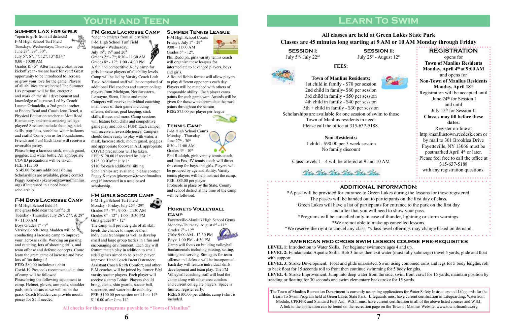**Hornets Volleyball** 

Fayetteville-Manlius High School Gyms Monday-Thursday; August  $8<sup>th</sup>$  -  $11<sup>th</sup>$ Grades  $7<sup>th</sup>$  -  $12<sup>th</sup>$ 

# **Camp**

Girls: 9:00 AM - 12:30 PM Boys: 1:00 PM - 4:30 PM

Monday - Thursday June 27<sup>th</sup> - 30<sup>th</sup> 8:30 - 11:00 am Grades  $4<sup>th</sup>$  -  $10<sup>th</sup>$ 

Camp will focus on building volleyball fundamentals including passing, setting, hitting and serving. Strategies for team offense and defense will be incorporated. Each day will feature individual skills development and team play. The FM Volleyball coaching staff will lead the camp along with other area coaches and current collegiate players. Space is limited, register early.

F-M High School Turf Field Monday - Friday, July 25<sup>th</sup> - 29<sup>th</sup> Grades  $3^{rd}$  -  $7^{th}$ ; 9:00 - 11:30 AM Grades 8<sup>th</sup> - 12<sup>th</sup>; 1:00 - 3:30 PM Girls grades 8<sup>th</sup> - 12<sup>th</sup>

> **FEE:** \$100.00 per athlete, camp t-shirt is included.

### **Tennis Camp**

The camp will provide girls of all skill levels the chance to improve their individual technique as well as develop small and large group tactics in a fun and encouraging environment. Each day will feature match play in addition to small sided games aimed to help each player improve. Head Coach Brent Ostrander, Assistant Coach Keith Comfort, and other F-M coaches will be joined by former F-M varsity soccer players. Each player will receive a camp T-shirt. Players should bring, cleats, shin guards, soccer ball, sunscreen, and water bottle each day. FEE: \$100.00 per session until June 14<sup>th</sup>  $$110.00$  after June  $14<sup>th</sup>$ .

F-M High School Courts







and Jon Fox, JV tennis coach will direct this camp for boys and girls. Players will be grouped by age and ability. Varsity tennis players will help instruct the camp. FEE: \$85.00 per player Protocols in place by the State, County and school district at the time of the camp

F-M High School Courts Fridays, July 1st - 29th  $9:00 - 11:00$  AM Grades  $5<sup>th</sup>$  -  $12<sup>th</sup>$ .

Grades  $K - 5<sup>th</sup>$  After having a blast in our kickoff year - we are back for year! Great opportunity to be introduced to lacrosse or grow your love for the game. Players of all abilities are welcome! The Summer Lax program will be fun, energetic and work on the skill development and knowledge of lacrosse. Led by Coach Lauren Orlandella, a 2nd grade teacher at Enders Road and Coach Jenn Deuel, a Physical Education teacher at Mott Road Elementary, and some amazing college players! Sessions include shooting, stick skills, popsicles, sunshine, water balloons and crafts! Come join us for Foundations, Friends and Fun! Each laxer will receive a reversible jersey.

\*open to athletes from all districts! F-M High School Turf Field Monday - Wednesday; July 18<sup>th</sup>, 19<sup>th</sup> and 20<sup>th</sup> Grades 2nd - 7th; 8:30 - 11:30 AM Grades  $8^{th}$  -  $12^{th}$ ; 1:00 - 4:00 PM A fun and competitive 3-day camp for girls lacrosse players of all ability levels. Camp will be led by Varsity Coach Leah Tuck. Additional staff will be comprised of additional FM coaches and current college players from Michigan, Northwestern, Lemoyne, Siena, Ithaca and more. Campers will receive individual coaching in all areas of their game including offense, defense, goal keeping, stick skills, fitness and more. Camp sessions will feature both drills and competitive game play and lots of FUN! Each camper will receive a reversible jersey. Campers should come ready to play with water, a mask, lacrosse stick, mouth guard, goggles and appropriate footwear. ALL appropriate COVID precautions will be taken. FEE:  $$120.00$  if received by July 1st.  $$125.00$  if after July 1st

### **Summer Tennis League**

Phil Rudolph, girls varsity tennis coach will organize these leagues for intermediate to advanced players, boys

and girls.

A Round Robin format will allow players to play different opponents each day. Players will be matched with others of comparable ability. Each player earns points for each game won. Awards will be given for those who accumulate the most points throughout the season.

\$110 for each additional sibling Scholarships are available, please contact Peggy Kenyon (pkenyon@townofmanlius. org) if interested in a need based scholarship.

### **FM GIRLS SOCCER CAMP** will be followed.

F-M High School field #4 (the grass field near the turf field) Tuesday - Thursday; July 26<sup>th</sup>, 27<sup>th</sup>, & 28<sup>th</sup> 9 - 11:00 AM 8.

**FEE:** \$75.00 per player per league

### **Summer LAX For Girls**

\*open to girls from all districts! F-M High School Turf Field A Tuesdays, Wednesdays, Thursdays June  $28^{\text{th}}$ ,  $29^{\text{th}}$ ,  $30^{\text{th}}$ , July 5<sup>th</sup>, 6<sup>th</sup>, 7<sup>th</sup>, 12<sup>th</sup>, 13<sup>th</sup> & 14<sup>th</sup> 8:00 - 10:00 AM

Boys Grades 1st - 7th Varsity Coach Doug Madden will be conducting a lacrosse camp to improve your lacrosse skills. Working on passing and catching, lots of shooting drills, and team offense and defense concepts. Come learn the great game of lacrosse and have lots of fun doing it!

Please bring a lacrosse stick, mouth guard, goggles, and water bottle. All appropriate COVID precautions will be taken. FEE: \$155.00

 \$145.00 for any additional sibling Scholarships are available, please contact Peggy Kenyon (pkenyon@townofmanlius. org) if interested in a need based scholarship.

### **FM Girls Lacrosse Camp**

**SESSION I:**  July 5<sup>th</sup>- July 22<sup>nd</sup>

**SESSION II:**  July  $25^{\text{th}}$  - August  $12^{\text{th}}$ 





### **F-M Boys Lacrosse Camp**

**FEE:** \$80.00 includes a t-shirt Covid-19 Protocols recommended at time of camp will be followed Please bring the following equipment to camp. Helmet, gloves, arm pads, shoulder pads, stick, cleats as we will be on the grass. Coach Madden can provide mouth pieces for \$1 if needed

# **Youth and Teen**

**All checks for these programs payable to "Town of Manlius"**



**REGISTRATION** opens for **Town of Manlius Residents** Monday, April 4<sup>th</sup> at 9:00 AM and opens for **Non-Town of Manlius Residents Monday, April 18th** Registration will be accepted until June 24<sup>th</sup> for Session I and until July 15<sup>th</sup> for Session II **Classes may fill before these dates.** Register on-line at http:/manliustown.recdesk.com or by mail to 301 Brooklea Drive Fayetteville, NY 13066 must be postmarked April 4<sup>th</sup> or later. Please feel free to call the office at 315-637-5188

with any registration questions. 

# **Learn To Swim**

**FEES:**

### **Town of Manlius Residents:**

1st child in family - \$70 per session 2nd child in family- \$60 per session 3rd child in family - \$50 per session 4th child in family - \$40 per session 5th + child in family - \$30 per session Scholarships are available for one session of swim to those Town of Manlius residents in need. Please call the office at 315-637-5188.

### **Non-Residents:**

1 child - \$90.00 per 3 week session No family discount

Class Levels 1 - 4 will be offered at 9 and 10 AM

Dieta Dieta Dieta Dieta Dieta

**LEVEL 1:** Introduction to Water Skills. For beginner swimmers ages 4 and up. **LEVEL 2:** Fundamental Aquatic Skills. Bob 3 times then exit water (must fully submerge) travel 5 yards, glide and float with support.

\*A pass will be provided for entrance to Green Lakes during the lessons for those registered. The passes will be handed out to participants on the first day of class. Green Lakes will have a list of particpants for entrance to the park on the first day and after that you will need to show your pass. \*Programs will be cancelled only in case of thunder, lightning or storm warnings. \*We are not able to make up cancelled lessons. \*We reserve the right to cancel any class. \*Class level offerings may change based on demand. **AMERICAN RED CROSS SWIM LESSON COURSE PRE-REQUISITES**

**LEVEL 3:** Stroke Development. Float and glide unassisted. Swim using combined arms and legs for 5 body lengths, roll to back float for 15 seconds roll to front then continue swimming for 5 body lengths. **LEVEL 4:** Stroke Improvement. Jump into deep water from the side, swim front crawl for 15 yards, maintain position by treading or floating for 30 seconds and swim elementary backstroke for 15 yards.

### **All classes are held at Green Lakes State Park Classes are 45 minutes long starting at 9 AM or 10 AM Monday through Friday**

### **additional information:**

The Town of Manlius Recreation Department is currently accepting applications for Water Safety Instructors and Lifeguards for the Learn To Swim Program held at Green Lakes State Park. Lifeguards must have current certification in Lifeguarding, Waterfront Module, CPRFPR and Standard First Aid. W.S.I. must have current certification in all of the above listed courses and W.S.I. A link to the application can be found on the recreation page on the Town of Manlius Website. www.townofmanlius.org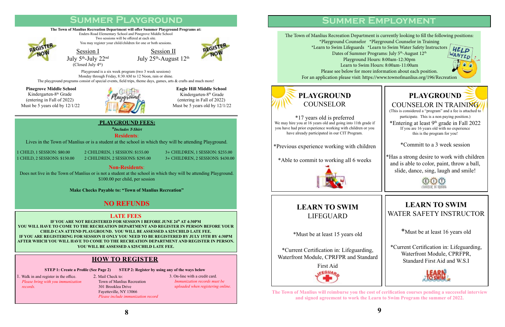# **Summer Playground**

### **Pinegrove Middle School**

Kindergarten-8th Grade (entering in Fall of 2022) Must be 5 years old by 12/1/22



Session II July 25<sup>th</sup>-August 12<sup>th</sup>



Playground is a six week program (two 3 week sessions) Monday through Friday, 8:30 AM to 12 Noon, rain or shine. The playground programs consist of special events, field trips, theme days, games, arts & crafts and much more!

> **Eagle Hill Middle School**  Kindergarten-8th Grade (entering in Fall of 2022) Must be 5 years old by 12/1/22

### **The Town of Manlius Recreation Department will offer Summer Playground Programs at:**  Enders Road Elementary School and Pinegrove Middle School Two sessions will be offered at each site.

Does not live in the Town of Manlius or is not a student at the school in which they will be attending Playground. \$100.00 per child, per session

You may register your child/children for one or both sessions.



Session I July 5th-July 22nd

(Closed July  $4<sup>th</sup>$ )

### **LATE FEES**

**IF YOU ARE NOT REGISTERED FOR SESSION I BEFORE JUNE 24th AT 4:30PM YOU WILL HAVE TO COME TO THE RECREATION DEPARTMENT AND REGISTER IN PERSON BEFORE YOUR CHILD CAN ATTEND PLAYGROUND. YOU WILL BE ASSESSED A \$25/CHILD LATE FEE. IF YOU ARE REGISTERING FOR SESSION II ONLY YOU NEED TO BE REGISTERED BY JULY 15TH BY 4:30PM AFTER WHICH YOU WILL HAVE TO COME TO THE RECREATION DEPARTMENT AND REGISTER IN PERSON. YOU WILL BE ASSESSED A \$25/CHILD LATE FEE.**

### **PLAYGROUND FEES:**

*\*Includes T-Shirt*

**Residents**:

Lives in the Town of Manlius or is a student at the school in which they will be attending Playground.

### **Non-Residents**:

First Aid **LEGUAR** 

**Make Checks Payable to: "Town of Manlius Recreation"**

## **NO REFUNDS**

1 CHILD, 1 SESSION: \$80.00 2 CHILDREN, 1 SESSION: \$155.00 3+ CHILDREN, 1 SESSION: \$255.00 1 CHILD, 2 SESSIONS: \$150.00 2 CHILDREN, 2 SESSIONS: \$295.00 3+ CHILDREN, 2 SESSIONS: \$430.00

### **how to register**

**STEP 1: Create a Profile (See Page 2) STEP 2: Register by using any of the ways below** 

1. Walk in and register in the office. *Please bring with you immunization records.*

2. Mail Check to: Town of Manlius Recreation 301 Brooklea Drive Fayetteville, NY 13066 *Please include immunization record* 3. On-line with a credit card. *Immunization records must be uploaded when registering online.* 

The Town of Manlius Recreation Departme \*Playground Counselor \*Playground Counselor in Training \*Learn to Swim Lifeguards  $*$ Dates of Summer P Playground H Learn to Swim Please see below for more For an application please visit: http:

# **PLAYGROUND**

COUNSELOR IN TRAINING (This is considered a "program" and a fee is attached to participate. This is a non paying position.) \*Entering at least  $9<sup>th</sup>$  grade in Fall 2022 If you are 16 years old with no experience this is the program for you!

\*Committ to a 3 week session

\*Has a strong desire to work with children and is able to color, paint, throw a ball, slide, dance, sing, laugh and smile!





\*17 years old is preferred We may hire you at 16 years old and going into 11th grade if you have had prior experience working with children or you have already participated in our CIT Program.

\*Previous experience working with children

\*Able to commit to working all 6 weeks



# **Summer Employment**

| nt is currently looking to fill the following positions:<br>Playground Counselor in Training<br>Learn to Swim Water Safety Instructors<br>HELP<br><sup>NANTED</sup><br>rograms: July 5 <sup>th</sup> -August 12 <sup>th</sup><br>ours: 8:00am-12:30pm<br>Hours: 8:00am-11:00am<br>e information about each position.<br>s://www.townofmanlius.org/196/Recreation |  |
|------------------------------------------------------------------------------------------------------------------------------------------------------------------------------------------------------------------------------------------------------------------------------------------------------------------------------------------------------------------|--|
|                                                                                                                                                                                                                                                                                                                                                                  |  |
|                                                                                                                                                                                                                                                                                                                                                                  |  |

# **LEARN TO SWIM** LIFEGUARD

\*Must be at least 15 years old

\*Current Certification in: Lifeguarding, Waterfront Module, CPRFPR and Standard

# **LEARN TO SWIM** WATER SAFETY INSTRUCTOR

\*Must be at least 16 years old

\*Current Certification in: Lifeguarding, Waterfront Module, CPRFPR, Standard First Aid and W.S.I



**The Town of Manlius will reimburse you the cost of cerification courses pending a successful interview and signed agreement to work the Learn to Swim Program the summer of 2022.**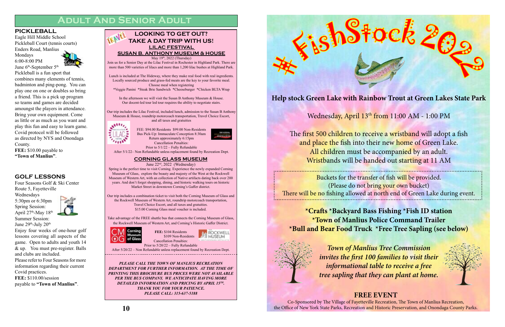**Help stock Green Lake with Rainbow Trout at Green Lakes State Park**



The first 500 children to receive a wristband will adopt a fish and place the fish into their new home of Green Lake. All children must be accompanied by an adult. Wristbands will be handed out starting at 11 AM

Buckets for the transfer of fish will be provided. (Please do not bring your own bucket) There will be no fishing allowed at north end of Green Lake during event.

Mondays 6:00-8:00 PM June 6<sup>th</sup>-September 5<sup>th</sup>



**\*Crafts \*Backyard Bass Fishing \*Fish ID station \*Town of Manlius Police Command Trailer \*Bull and Bear Food Truck \*Free Tree Sapling (see below)**



*Town of Manlius Tree Commission invites the first 100 families to visit their informational table to receive a free tree sapling that they can plant at home.*

# **FREE EVENT** Co-Sponsored by The Village of Fayetteville Recreation, The Town of Manlius Recreation,

June 29<sup>th</sup>-July 20<sup>th</sup> Enjoy four weeks of one-hour golf

the Office of New York State Parks, Recreation and Historic Preservation, and Onondaga County Parks.

### **PICKLEBALL**

Eagle Hill Middle School Pickleball Court (tennis courts) Enders Road, Manlius

Pickleball is a fun sport that combines many elements of tennis, badminton and ping-pong. You can play one on one or doubles so bring a friend. This is a pick up program so teams and games are decided amoungst the players in attendance. Bring your own equipment. Come as little or as much as you want and play this fun and easy to learn game. Covid protocol will be followed as directed by NYS and Onondaga County. **FEE:** \$10.00 payable to

**"Town of Manlius"**.

# **Adult And Senior Adult**

### **GOLF LESSONS**

Four Seasons Golf & Ski Center Route 5, Fayetteville

Wednesdays 5:30pm or 6:30pm Spring Session: April  $27<sup>th</sup>$ -May  $18<sup>th</sup>$ Summer Session:



Our trip includes a combination ticket to visit both the Corning Museum of Glass and the Rockwell Museum of Western Art, roundtrip motorcoach transportation, Travel Choice Escort, and all taxes and gratuities. \$15.00 Corning Glass meal voucher is included.

lessons covering all aspects of the game. Open to adults and youth 14 & up. You must pre-register. Balls and clubs are included. Please refer to Four Seasons for more

information regarding their current Covid practices.

**FEE:** \$110.00/session payable to **"Town of Manlius"**. FEE: \$94.00 Residents \$99.00 Non-Residents Bus Pick-Up: Immaculate Conception 8:30am Return approximately 6:15pm Cancellation Penalties: Prior to 5/1/22 – Fully Refundable

After 5/1/22– Non Refundable unless replacement found by Recreation Dept.

### **LILAC FESTIVAL SUSAN B. ANTHONY MUSEUM & HOUSE** May 19<sup>th</sup>, 2022 (Thursday) Join us for a Senior Day at the Lilac Festival in Rochester in Highland Park. There are more than 500 varieties of lilacs and more than 1,200 lilac bushes at Highland Park. Lunch is included at The Hideway, where they make real food with real ingredients. Locally sourced produce and grass-fed meats are the key to your favorite meal. Choose meal when registering \*Veggie Panini \*Steak Brie Sandwich \*Cheeseburger \*Chicken BLTA Wrap In the afternoon we will visit the Susan B Anthony Museum & House. Our docent-led tour led tour requires the ability to negotiate stairs. Our trip includes the Lilac Festival, included lunch, admission to the Susan B Anthony Museum & House, roundtrip motorcoach transportation, Travel Choice Escort, and all taxes and gratuities **LOOKING TO GET OUT? TAKE A DAY TRIP WITH US!**



### **CORNING GLASS MUSEUM**

June 22nd, 2022 (Wednesday)

Spring is the perfect time to visit Corning. Experience the newly expanded Corning Museum of Glass, explore the beauty and majesty of the West at the Rockwell Museum of Western Art, with an collection of Native artifacts dating back over 200 years. And don't forget shopping, dining, and historic walking tours on historic Market Street in downtown Corning's Gaffer district.

Take advantage of the FREE shuttle bus that connects the Corning Museum of Glass, the Rockwell Museum of Western Art, and Corning's Historic Gaffer District.

**FEE:** \$104 Residents





\$109 Non-Residents

Cancellation Penalties: Prior to 5/20/22 – Fully Refundable

After 5/20/22 – Non Refundable unless replacement found by Recreation Dept.

*PLEASE CALL THE TOWN OF MANLIUS RECREATION DEPARTMENT FOR FURTHER INFORMATION. AT THE TIME OF PRINTING THIS BROCHURE BUS PRICES WERE NOT AVAILABLE*  PER THE BUS COMPANY. WE ANTICIPATE HAVING MORE *DETAILED INFORMATION AND PRICING BY APRIL 15TH. THANK YOU FOR YOUR PATIENCE. PLEASE CALL: 315-637-5188*



Wednesday, April 13<sup>th</sup> from 11:00 AM - 1:00 PM